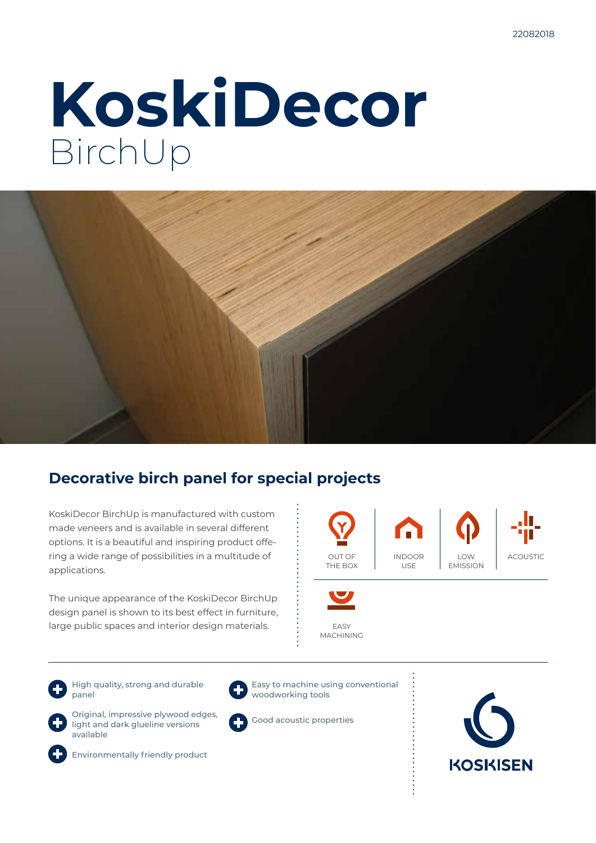# **KoskiDecor** BirchUp



### **Decorative birch panel for special projects**

KoskiDecor BirchUp is manufactured with custom made veneers and is available in several different options. It is a beautiful and inspiring product offering a wide range of possibilities in a multitude of applications.

The unique appearance of the KoskiDecor BirchUp design panel is shown to its best effect in furniture, large public spaces and interior design materials.



High quality, strong and durable panel





woodworking tools

Easy to machine using conventional



Original, impressive plywood edges, light and dark glueline versions available



Environmentally friendly product



Good acoustic properties